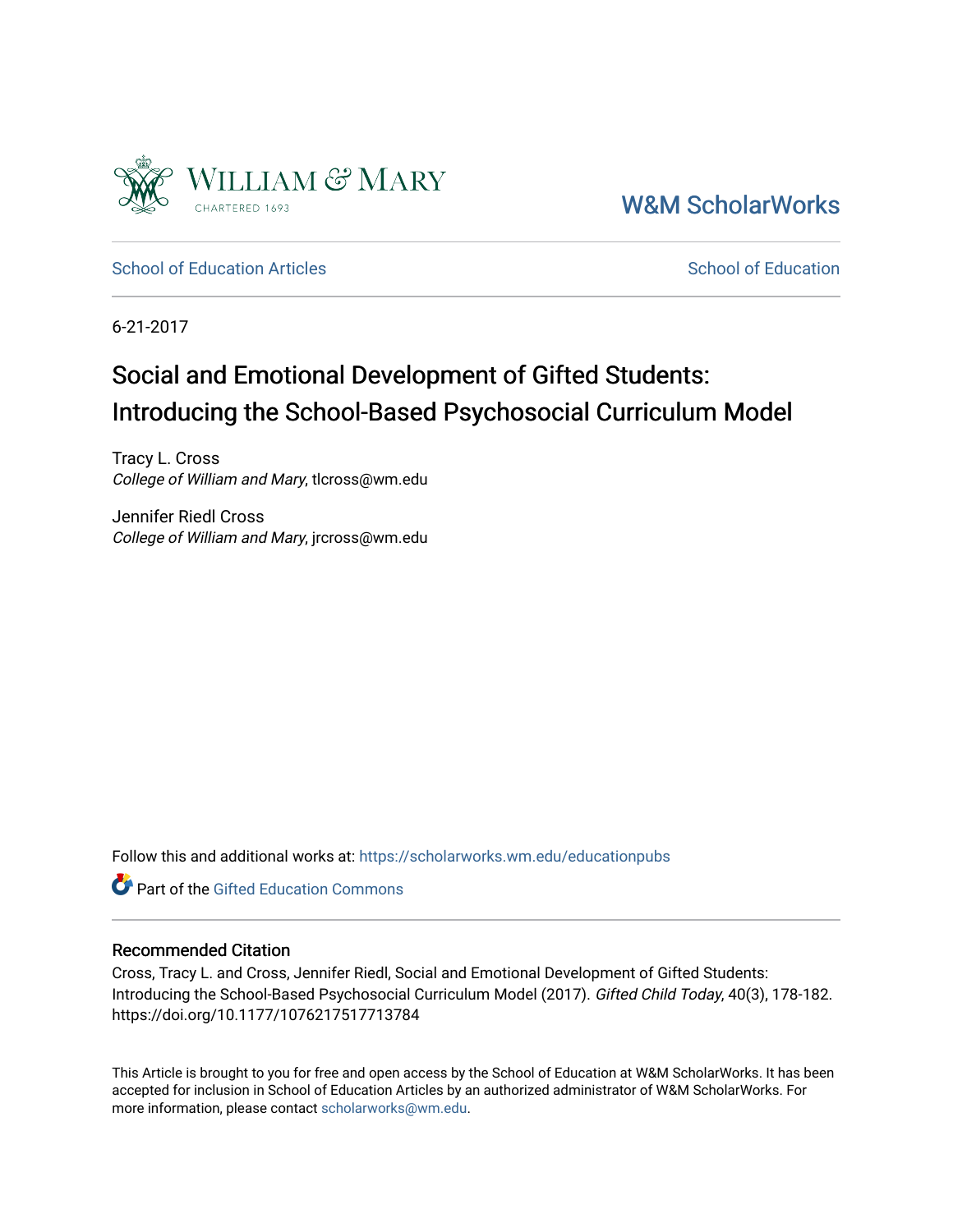

[W&M ScholarWorks](https://scholarworks.wm.edu/) 

[School of Education Articles](https://scholarworks.wm.edu/educationpubs) [School of Education](https://scholarworks.wm.edu/education) School of Education

6-21-2017

# Social and Emotional Development of Gifted Students: Introducing the School-Based Psychosocial Curriculum Model

Tracy L. Cross College of William and Mary, tlcross@wm.edu

Jennifer Riedl Cross College of William and Mary, jrcross@wm.edu

Follow this and additional works at: [https://scholarworks.wm.edu/educationpubs](https://scholarworks.wm.edu/educationpubs?utm_source=scholarworks.wm.edu%2Feducationpubs%2F145&utm_medium=PDF&utm_campaign=PDFCoverPages) 

**Part of the Gifted Education Commons** 

#### Recommended Citation

Cross, Tracy L. and Cross, Jennifer Riedl, Social and Emotional Development of Gifted Students: Introducing the School-Based Psychosocial Curriculum Model (2017). Gifted Child Today, 40(3), 178-182. https://doi.org/10.1177/1076217517713784

This Article is brought to you for free and open access by the School of Education at W&M ScholarWorks. It has been accepted for inclusion in School of Education Articles by an authorized administrator of W&M ScholarWorks. For more information, please contact [scholarworks@wm.edu](mailto:scholarworks@wm.edu).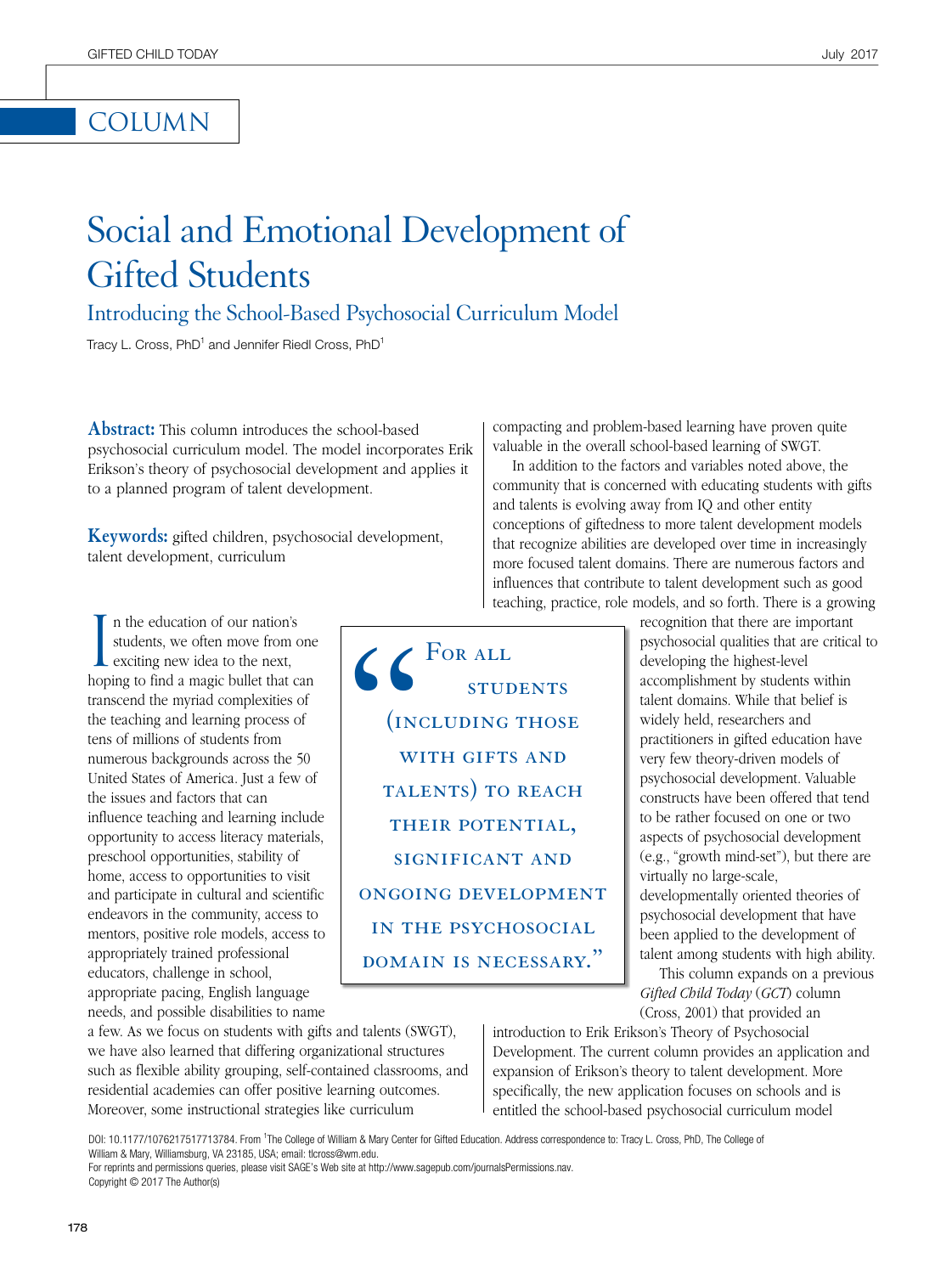# **COLUMN**

# Social and Emotional Development of Gifted Students

Introducing the School-Based Psychosocial Curriculum Model

Tracy L. Cross, PhD<sup>1</sup> and Jennifer Riedl Cross, PhD<sup>1</sup>

**Abstract:** This column introduces the school-based psychosocial curriculum model. The model incorporates Erik Erikson's theory of psychosocial development and applies it to a planned program of talent development.

**Keywords:** gifted children, psychosocial development, talent development, curriculum

I n the education of our nation's students, we often move from one exciting new idea to the next, hoping to find a magic bullet that can transcend the myriad complexities of the teaching and learning process of tens of millions of students from numerous backgrounds across the 50 United States of America. Just a few of the issues and factors that can influence teaching and learning include opportunity to access literacy materials, preschool opportunities, stability of home, access to opportunities to visit and participate in cultural and scientific endeavors in the community, access to mentors, positive role models, access to appropriately trained professional educators, challenge in school, appropriate pacing, English language needs, and possible disabilities to name

a few. As we focus on students with gifts and talents (SWGT), we have also learned that differing organizational structures such as flexible ability grouping, self-contained classrooms, and residential academies can offer positive learning outcomes. Moreover, some instructional strategies like curriculum

compacting and problem-based learning have proven quite valuable in the overall school-based learning of SWGT.

In addition to the factors and variables noted above, the community that is concerned with educating students with gifts and talents is evolving away from IQ and other entity conceptions of giftedness to more talent development models that recognize abilities are developed over time in increasingly more focused talent domains. There are numerous factors and influences that contribute to talent development such as good teaching, practice, role models, and so forth. There is a growing

CORALL STUD (INCLUDING THE GETS) **STUDENTS** (including those with gifts and talents) to reach their potential, significant and ongoing development in the psychosocial domain is necessary."

recognition that there are important psychosocial qualities that are critical to developing the highest-level accomplishment by students within talent domains. While that belief is widely held, researchers and practitioners in gifted education have very few theory-driven models of psychosocial development. Valuable constructs have been offered that tend to be rather focused on one or two aspects of psychosocial development (e.g., "growth mind-set"), but there are virtually no large-scale,

developmentally oriented theories of psychosocial development that have been applied to the development of talent among students with high ability.

This column expands on a previous *Gifted Child Today* (*GCT*) column (Cross, 2001) that provided an

introduction to Erik Erikson's Theory of Psychosocial Development. The current column provides an application and expansion of Erikson's theory to talent development. More specifically, the new application focuses on schools and is entitled the school-based psychosocial curriculum model

DOI: [10.1177/1076217517713784](http://doi.org/10.1177/1076217517713784). From <sup>1</sup>The College of William & Mary Center for Gifted Education. Address correspondence to: Tracy L. Cross, PhD, The College of William & Mary, Williamsburg, VA 23185, USA; email: tlcross@wm.edu.

For reprints and permissions queries, please visit SAGE's Web site at http://www.sagepub.com/journalsPermissions.nav. Copyright © 2017 The Author(s)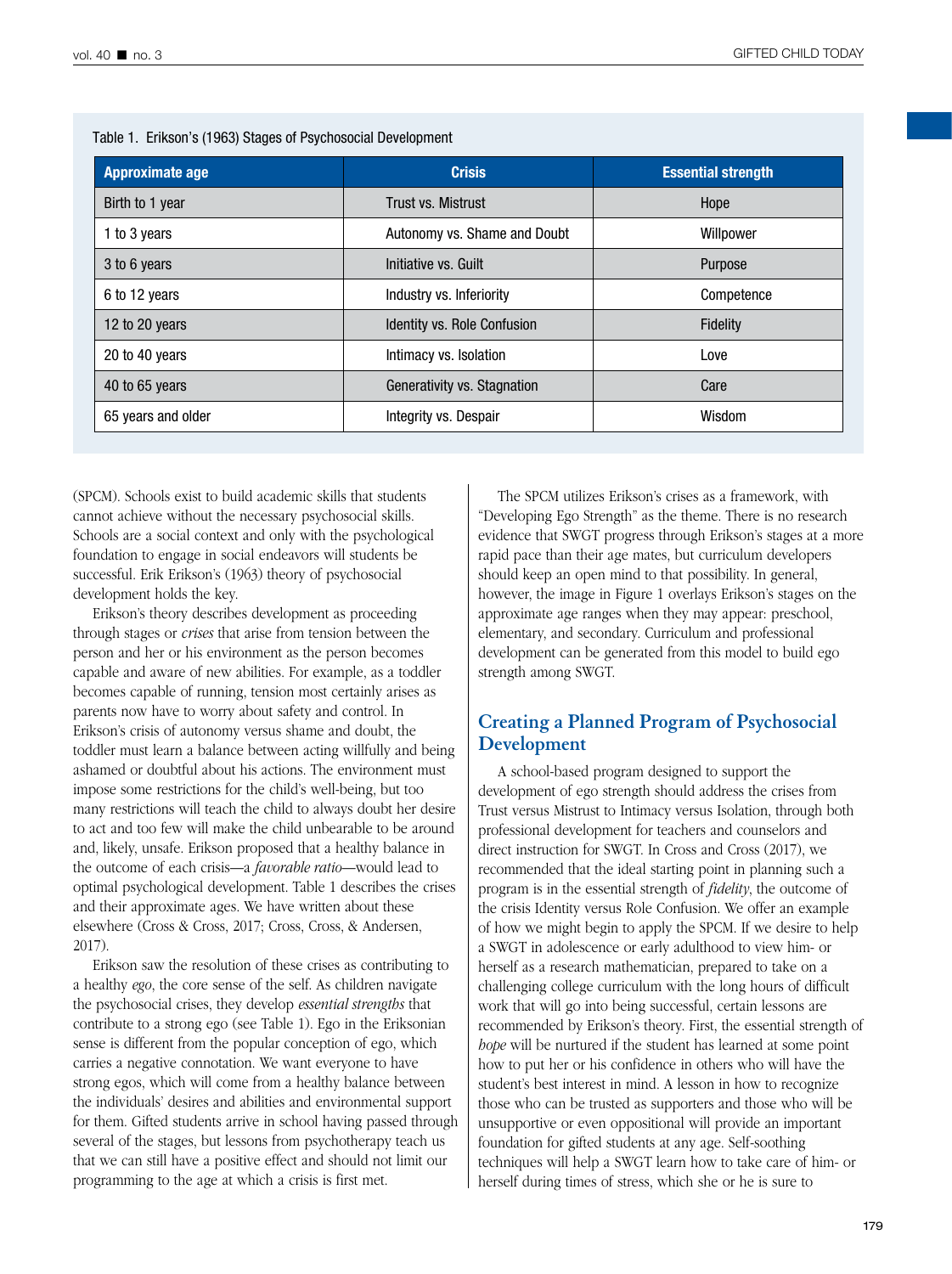| <b>Approximate age</b> | <b>Crisis</b>                          | <b>Essential strength</b> |
|------------------------|----------------------------------------|---------------------------|
| Birth to 1 year        | Trust vs. Mistrust                     | Hope                      |
| 1 to 3 years           | Autonomy vs. Shame and Doubt           | Willpower                 |
| 3 to 6 years           | Initiative vs. Guilt                   | Purpose                   |
| 6 to 12 years          | Industry vs. Inferiority<br>Competence |                           |
| 12 to 20 years         | Identity vs. Role Confusion            | Fidelity                  |
| 20 to 40 years         | Intimacy vs. Isolation                 | Love                      |
| 40 to 65 years         | Generativity vs. Stagnation            | Care                      |
| 65 years and older     | Integrity vs. Despair                  | Wisdom                    |

Table 1. Erikson's (1963) Stages of Psychosocial Development

(SPCM). Schools exist to build academic skills that students cannot achieve without the necessary psychosocial skills. Schools are a social context and only with the psychological foundation to engage in social endeavors will students be successful. Erik Erikson's (1963) theory of psychosocial development holds the key.

Erikson's theory describes development as proceeding through stages or *crises* that arise from tension between the person and her or his environment as the person becomes capable and aware of new abilities. For example, as a toddler becomes capable of running, tension most certainly arises as parents now have to worry about safety and control. In Erikson's crisis of autonomy versus shame and doubt, the toddler must learn a balance between acting willfully and being ashamed or doubtful about his actions. The environment must impose some restrictions for the child's well-being, but too many restrictions will teach the child to always doubt her desire to act and too few will make the child unbearable to be around and, likely, unsafe. Erikson proposed that a healthy balance in the outcome of each crisis—a *favorable ratio*—would lead to optimal psychological development. Table 1 describes the crises and their approximate ages. We have written about these elsewhere (Cross & Cross, 2017; Cross, Cross, & Andersen, 2017).

Erikson saw the resolution of these crises as contributing to a healthy *ego*, the core sense of the self. As children navigate the psychosocial crises, they develop *essential strengths* that contribute to a strong ego (see Table 1). Ego in the Eriksonian sense is different from the popular conception of ego, which carries a negative connotation. We want everyone to have strong egos, which will come from a healthy balance between the individuals' desires and abilities and environmental support for them. Gifted students arrive in school having passed through several of the stages, but lessons from psychotherapy teach us that we can still have a positive effect and should not limit our programming to the age at which a crisis is first met.

The SPCM utilizes Erikson's crises as a framework, with "Developing Ego Strength" as the theme. There is no research evidence that SWGT progress through Erikson's stages at a more rapid pace than their age mates, but curriculum developers should keep an open mind to that possibility. In general, however, the image in Figure 1 overlays Erikson's stages on the approximate age ranges when they may appear: preschool, elementary, and secondary. Curriculum and professional development can be generated from this model to build ego strength among SWGT.

# **Creating a Planned Program of Psychosocial Development**

A school-based program designed to support the development of ego strength should address the crises from Trust versus Mistrust to Intimacy versus Isolation, through both professional development for teachers and counselors and direct instruction for SWGT. In Cross and Cross (2017), we recommended that the ideal starting point in planning such a program is in the essential strength of *fidelity*, the outcome of the crisis Identity versus Role Confusion. We offer an example of how we might begin to apply the SPCM. If we desire to help a SWGT in adolescence or early adulthood to view him- or herself as a research mathematician, prepared to take on a challenging college curriculum with the long hours of difficult work that will go into being successful, certain lessons are recommended by Erikson's theory. First, the essential strength of *hope* will be nurtured if the student has learned at some point how to put her or his confidence in others who will have the student's best interest in mind. A lesson in how to recognize those who can be trusted as supporters and those who will be unsupportive or even oppositional will provide an important foundation for gifted students at any age. Self-soothing techniques will help a SWGT learn how to take care of him- or herself during times of stress, which she or he is sure to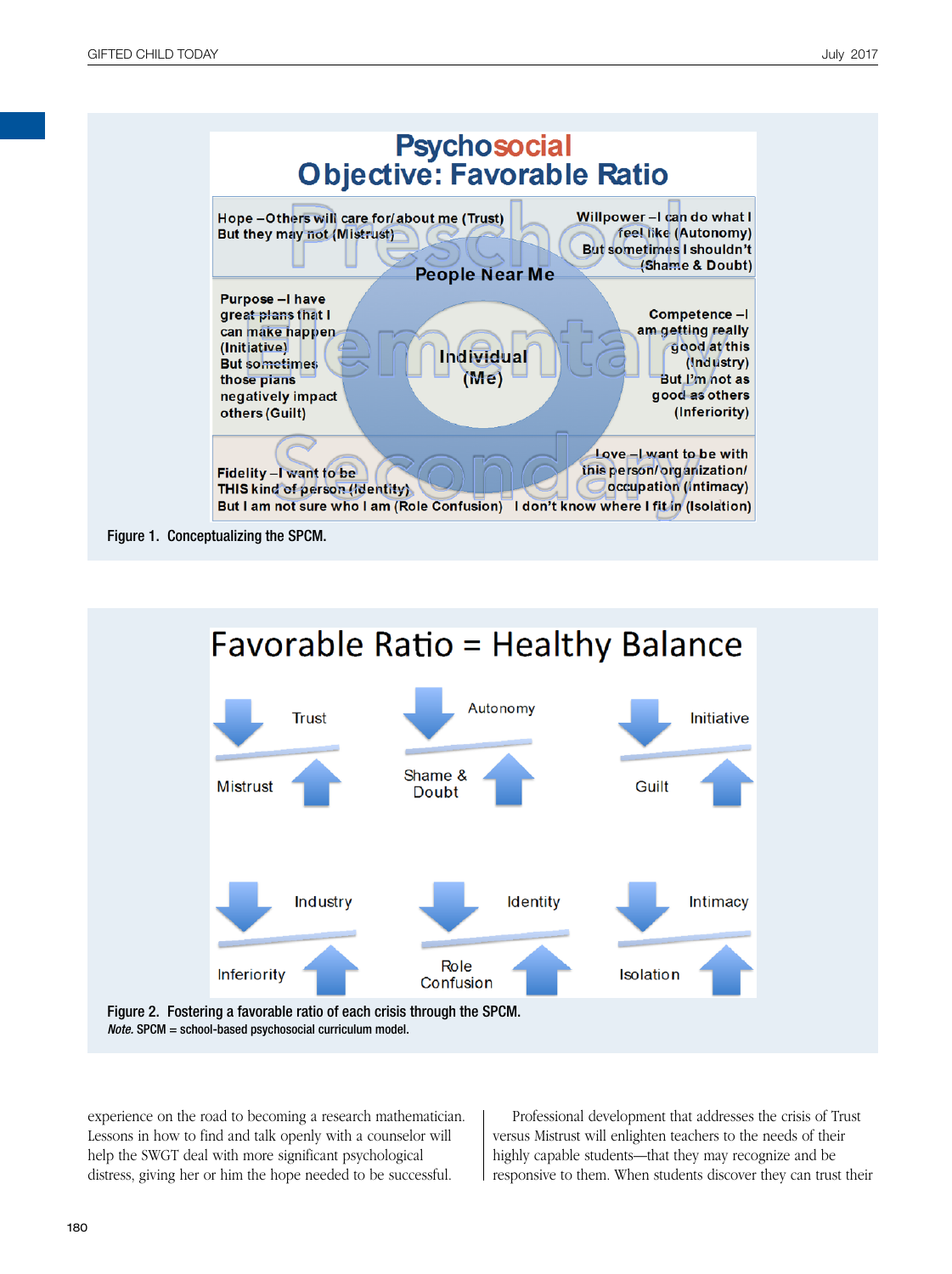



experience on the road to becoming a research mathematician. Lessons in how to find and talk openly with a counselor will help the SWGT deal with more significant psychological distress, giving her or him the hope needed to be successful.

Professional development that addresses the crisis of Trust versus Mistrust will enlighten teachers to the needs of their highly capable students—that they may recognize and be responsive to them. When students discover they can trust their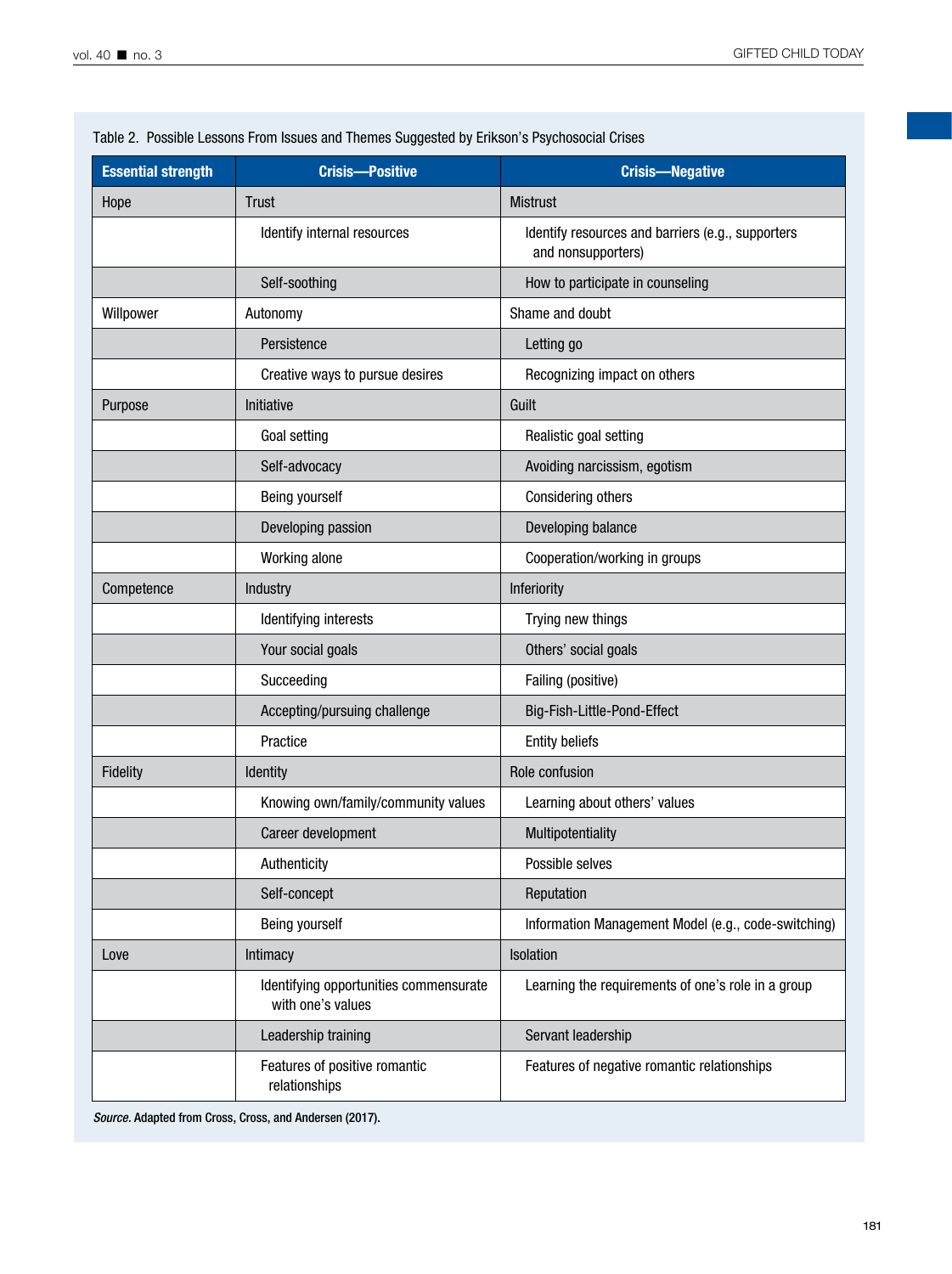| <b>Essential strength</b> | <b>Crisis-Positive</b>                                      | <b>Crisis-Negative</b>                                                  |
|---------------------------|-------------------------------------------------------------|-------------------------------------------------------------------------|
| Hope                      | Trust                                                       | <b>Mistrust</b>                                                         |
|                           | Identify internal resources                                 | Identify resources and barriers (e.g., supporters<br>and nonsupporters) |
|                           | Self-soothing                                               | How to participate in counseling                                        |
| Willpower                 | Autonomy                                                    | Shame and doubt                                                         |
|                           | Persistence                                                 | Letting go                                                              |
|                           | Creative ways to pursue desires                             | Recognizing impact on others                                            |
| Purpose                   | Initiative                                                  | Guilt                                                                   |
|                           | Goal setting                                                | Realistic goal setting                                                  |
|                           | Self-advocacy                                               | Avoiding narcissism, egotism                                            |
|                           | Being yourself                                              | Considering others                                                      |
|                           | Developing passion                                          | Developing balance                                                      |
|                           | Working alone                                               | Cooperation/working in groups                                           |
| Competence                | Industry                                                    | Inferiority                                                             |
|                           | Identifying interests                                       | Trying new things                                                       |
|                           | Your social goals                                           | Others' social goals                                                    |
|                           | Succeeding                                                  | Failing (positive)                                                      |
|                           | Accepting/pursuing challenge                                | Big-Fish-Little-Pond-Effect                                             |
|                           | Practice                                                    | <b>Entity beliefs</b>                                                   |
| <b>Fidelity</b>           | Identity                                                    | Role confusion                                                          |
|                           | Knowing own/family/community values                         | Learning about others' values                                           |
|                           | Career development                                          | Multipotentiality                                                       |
|                           | Authenticity                                                | Possible selves                                                         |
|                           | Self-concept                                                | Reputation                                                              |
|                           | Being yourself                                              | Information Management Model (e.g., code-switching)                     |
| Love                      | Intimacy                                                    | Isolation                                                               |
|                           | Identifying opportunities commensurate<br>with one's values | Learning the requirements of one's role in a group                      |
|                           | Leadership training                                         | Servant leadership                                                      |
|                           | Features of positive romantic<br>relationships              | Features of negative romantic relationships                             |

Table 2. Possible Lessons From Issues and Themes Suggested by Erikson's Psychosocial Crises

*Source.* Adapted from Cross, Cross, and Andersen (2017).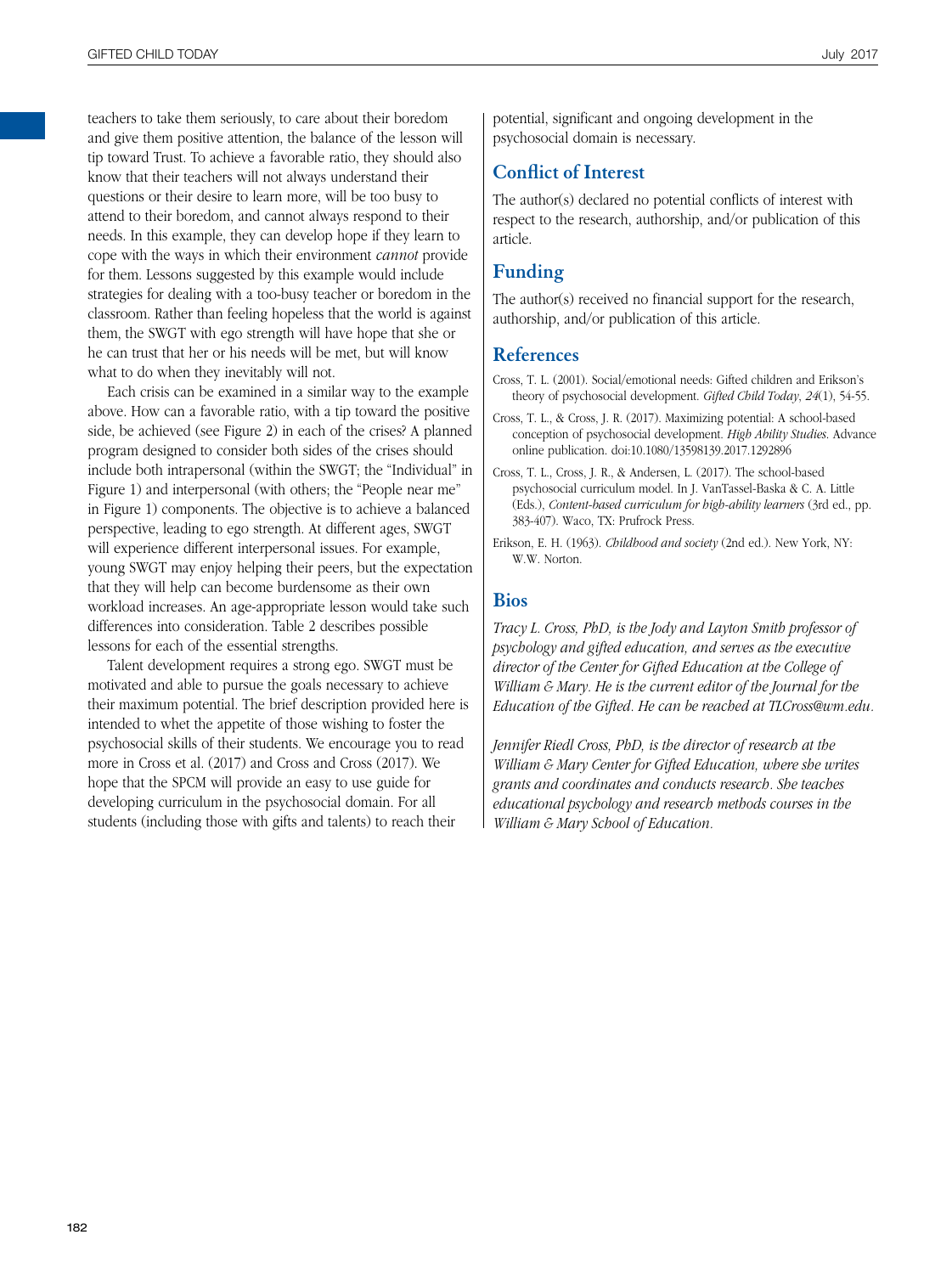teachers to take them seriously, to care about their boredom and give them positive attention, the balance of the lesson will tip toward Trust. To achieve a favorable ratio, they should also know that their teachers will not always understand their questions or their desire to learn more, will be too busy to attend to their boredom, and cannot always respond to their needs. In this example, they can develop hope if they learn to cope with the ways in which their environment *cannot* provide for them. Lessons suggested by this example would include strategies for dealing with a too-busy teacher or boredom in the classroom. Rather than feeling hopeless that the world is against them, the SWGT with ego strength will have hope that she or he can trust that her or his needs will be met, but will know what to do when they inevitably will not.

Each crisis can be examined in a similar way to the example above. How can a favorable ratio, with a tip toward the positive side, be achieved (see Figure 2) in each of the crises? A planned program designed to consider both sides of the crises should include both intrapersonal (within the SWGT; the "Individual" in Figure 1) and interpersonal (with others; the "People near me" in Figure 1) components. The objective is to achieve a balanced perspective, leading to ego strength. At different ages, SWGT will experience different interpersonal issues. For example, young SWGT may enjoy helping their peers, but the expectation that they will help can become burdensome as their own workload increases. An age-appropriate lesson would take such differences into consideration. Table 2 describes possible lessons for each of the essential strengths.

Talent development requires a strong ego. SWGT must be motivated and able to pursue the goals necessary to achieve their maximum potential. The brief description provided here is intended to whet the appetite of those wishing to foster the psychosocial skills of their students. We encourage you to read more in Cross et al. (2017) and Cross and Cross (2017). We hope that the SPCM will provide an easy to use guide for developing curriculum in the psychosocial domain. For all students (including those with gifts and talents) to reach their

potential, significant and ongoing development in the psychosocial domain is necessary.

# **Conflict of Interest**

The author(s) declared no potential conflicts of interest with respect to the research, authorship, and/or publication of this article.

## **Funding**

The author(s) received no financial support for the research, authorship, and/or publication of this article.

### **References**

- Cross, T. L. (2001). Social/emotional needs: Gifted children and Erikson's theory of psychosocial development. *Gifted Child Today*, *24*(1), 54-55.
- Cross, T. L., & Cross, J. R. (2017). Maximizing potential: A school-based conception of psychosocial development. *High Ability Studies*. Advance online publication. doi:10.1080/13598139.2017.1292896
- Cross, T. L., Cross, J. R., & Andersen, L. (2017). The school-based psychosocial curriculum model. In J. VanTassel-Baska & C. A. Little (Eds.), *Content-based curriculum for high-ability learners* (3rd ed., pp. 383-407). Waco, TX: Prufrock Press.

#### **Bios**

*Tracy L. Cross, PhD, is the Jody and Layton Smith professor of psychology and gifted education, and serves as the executive director of the Center for Gifted Education at the College of William & Mary. He is the current editor of the Journal for the Education of the Gifted. He can be reached at TLCross@wm.edu.*

*Jennifer Riedl Cross, PhD, is the director of research at the William & Mary Center for Gifted Education, where she writes grants and coordinates and conducts research. She teaches educational psychology and research methods courses in the William & Mary School of Education.*

Erikson, E. H. (1963). *Childhood and society* (2nd ed.). New York, NY: W.W. Norton.